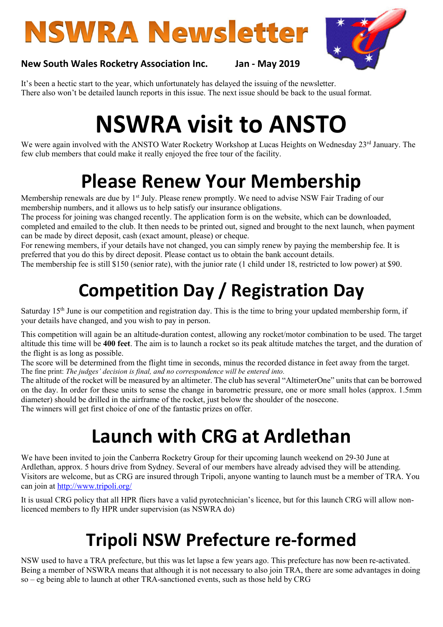# **NSWRA Newsletter**



#### New South Wales Rocketry Association Inc. Jan - May 2019

It's been a hectic start to the year, which unfortunately has delayed the issuing of the newsletter. There also won't be detailed launch reports in this issue. The next issue should be back to the usual format.

## NSWRA visit to ANSTO

We were again involved with the ANSTO Water Rocketry Workshop at Lucas Heights on Wednesday 23rd January. The few club members that could make it really enjoyed the free tour of the facility.

### Please Renew Your Membership

Membership renewals are due by 1<sup>st</sup> July. Please renew promptly. We need to advise NSW Fair Trading of our membership numbers, and it allows us to help satisfy our insurance obligations.

The process for joining was changed recently. The application form is on the website, which can be downloaded, completed and emailed to the club. It then needs to be printed out, signed and brought to the next launch, when payment can be made by direct deposit, cash (exact amount, please) or cheque.

For renewing members, if your details have not changed, you can simply renew by paying the membership fee. It is preferred that you do this by direct deposit. Please contact us to obtain the bank account details.

The membership fee is still \$150 (senior rate), with the junior rate (1 child under 18, restricted to low power) at \$90.

### Competition Day / Registration Day

Saturday  $15<sup>th</sup>$  June is our competition and registration day. This is the time to bring your updated membership form, if your details have changed, and you wish to pay in person.

This competition will again be an altitude-duration contest, allowing any rocket/motor combination to be used. The target altitude this time will be 400 feet. The aim is to launch a rocket so its peak altitude matches the target, and the duration of the flight is as long as possible.

The score will be determined from the flight time in seconds, minus the recorded distance in feet away from the target. The fine print: The judges' decision is final, and no correspondence will be entered into.

The altitude of the rocket will be measured by an altimeter. The club has several "AltimeterOne" units that can be borrowed on the day. In order for these units to sense the change in barometric pressure, one or more small holes (approx. 1.5mm diameter) should be drilled in the airframe of the rocket, just below the shoulder of the nosecone.

The winners will get first choice of one of the fantastic prizes on offer.

### Launch with CRG at Ardlethan

We have been invited to join the Canberra Rocketry Group for their upcoming launch weekend on 29-30 June at Ardlethan, approx. 5 hours drive from Sydney. Several of our members have already advised they will be attending. Visitors are welcome, but as CRG are insured through Tripoli, anyone wanting to launch must be a member of TRA. You can join at http://www.tripoli.org/

It is usual CRG policy that all HPR fliers have a valid pyrotechnician's licence, but for this launch CRG will allow nonlicenced members to fly HPR under supervision (as NSWRA do)

### Tripoli NSW Prefecture re-formed

NSW used to have a TRA prefecture, but this was let lapse a few years ago. This prefecture has now been re-activated. Being a member of NSWRA means that although it is not necessary to also join TRA, there are some advantages in doing so – eg being able to launch at other TRA-sanctioned events, such as those held by CRG